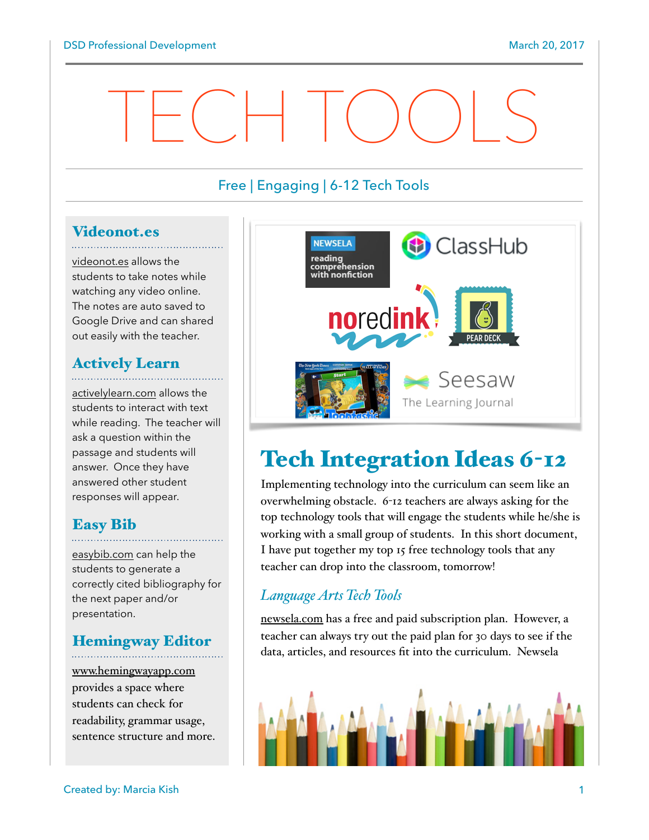# TECH TOOLS

## Free | Engaging | 6-12 Tech Tools

# Videonot.es

[videonot.es](http://videonot.es) allows the students to take notes while watching any video online. The notes are auto saved to Google Drive and can shared out easily with the teacher.

# Actively Learn

[activelylearn.com](http://activelylearn.com) allows the students to interact with text while reading. The teacher will ask a question within the passage and students will answer. Once they have answered other student responses will appear.

### Easy Bib

[easybib.com](http://easybib.com) can help the students to generate a correctly cited bibliography for the next paper and/or presentation.

# Hemingway Editor

[www.hemingwayapp.com](http://www.hemingwayapp.com) provides a space where students can check for readability, grammar usage, sentence structure and more.



# Tech Integration Ideas 6-12

Implementing technology into the curriculum can seem like an overwhelming obstacle. 6-12 teachers are always asking for the top technology tools that will engage the students while he/she is working with a small group of students. In this short document, I have put together my top 15 free technology tools that any teacher can drop into the classroom, tomorrow!

#### *Language Arts Tech Tools*

[newsela.com](http://newsela.com) has a free and paid subscription plan. However, a teacher can always try out the paid plan for 30 days to see if the data, articles, and resources fit into the curriculum. Newsela